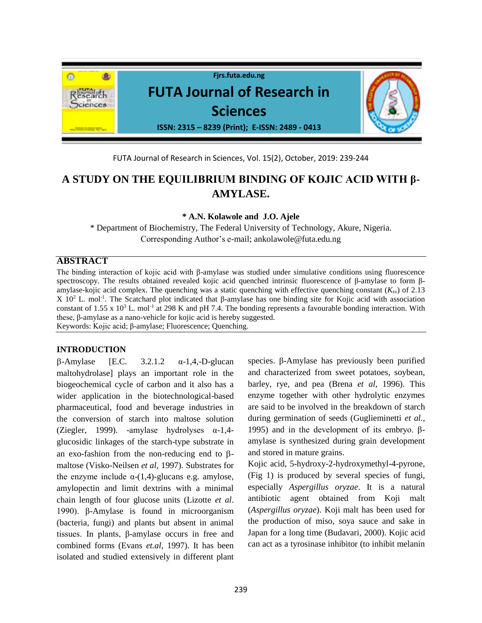

FUTA Journal of Research in Sciences, Vol. 15(2), October, 2019: 239-244

# **A STUDY ON THE EQUILIBRIUM BINDING OF KOJIC ACID WITH β-AMYLASE.**

**\* A.N. Kolawole and J.O. Ajele**

\* Department of Biochemistry, The Federal University of Technology, Akure, Nigeria. Corresponding Author's e-mail; ankolawole@futa.edu.ng

## **ABSTRACT**

The binding interaction of kojic acid with β-amylase was studied under simulative conditions using fluorescence spectroscopy. The results obtained revealed kojic acid quenched intrinsic fluorescence of β-amylase to form βamylase-kojic acid complex. The quenching was a static quenching with effective quenching constant  $(K_{\rm sv})$  of 2.13 X 10<sup>2</sup> L. mol<sup>-1</sup>. The Scatchard plot indicated that β-amylase has one binding site for Kojic acid with association constant of 1.55 x 10<sup>3</sup> L. mol<sup>-1</sup> at 298 K and pH 7.4. The bonding represents a favourable bonding interaction. With these, β-amylase as a nano-vehicle for kojic acid is hereby suggested. Keywords: Kojic acid; β-amylase; Fluorescence; Quenching.

**INTRODUCTION**

 $\beta$ -Amylase [E.C. 3.2.1.2  $\alpha$ -1,4,-D-glucan] maltohydrolase] plays an important role in the biogeochemical cycle of carbon and it also has a wider application in the biotechnological-based pharmaceutical, food and beverage industries in the conversion of starch into maltose solution (Ziegler, 1999). -amylase hydrolyses α-1,4 glucosidic linkages of the starch-type substrate in an exo-fashion from the non-reducing end to  $\beta$ maltose (Visko-Neilsen *et al*, 1997). Substrates for the enzyme include  $\alpha$ -(1,4)-glucans e.g. amylose, amylopectin and limit dextrins with a minimal chain length of four glucose units (Lizotte *et al*. 1990). β-Amylase is found in microorganism [\(bacteria,](https://en.wikipedia.org/wiki/Bacteria) [fungi\)](https://en.wikipedia.org/wiki/Fungi) and [plants](https://en.wikipedia.org/wiki/Plant) but absent in animal tissues. In plants, β-amylase occurs in free and combined forms (Evans *et.al*, 1997). It has been isolated and studied extensively in different plant

species. β-Amylase has previously been purified and characterized from sweet potatoes, soybean, barley, rye, and pea (Brena *et al,* 1996). This enzyme together with other hydrolytic enzymes are said to be involved in the breakdown of starch during germination of seeds (Guglieminetti *et al.*, 1995) and in the development of its embryo. βamylase is synthesized during grain development and stored in mature grains.

Kojic acid, 5-hydroxy-2-hydroxymethyl-4-pyrone, (Fig 1) is produced by several species of fungi, especially *Aspergillus oryzae*. It is a natural antibiotic agent obtained from Koji malt (*Aspergillus oryzae*). Koji malt has been used for the production of miso, soya sauce and sake in Japan for a long time (Budavari, 2000). Kojic acid can act as a tyrosinase inhibitor (to inhibit melanin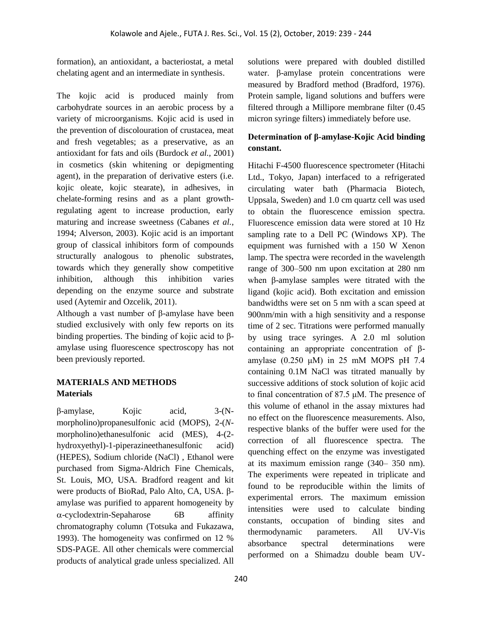formation), an antioxidant, a bacteriostat, a metal chelating agent and an intermediate in synthesis.

The kojic acid is produced mainly from carbohydrate sources in an aerobic process by a variety of microorganisms. Kojic acid is used in the prevention of discolouration of crustacea, meat and fresh vegetables; as a preservative, as an antioxidant for fats and oils (Burdock *et al.,* 2001) in cosmetics (skin whitening or depigmenting agent), in the preparation of derivative esters (i.e. kojic oleate, kojic stearate), in adhesives, in chelate-forming resins and as a plant growthregulating agent to increase production, early maturing and increase sweetness (Cabanes *et al.*, 1994; Alverson, 2003). Kojic acid is an important group of classical inhibitors form of compounds structurally analogous to phenolic substrates, towards which they generally show competitive inhibition, although this inhibition varies depending on the enzyme source and substrate used (Aytemir and Ozcelik, 2011).

Although a vast number of β-amylase have been studied exclusively with only few reports on its binding properties. The binding of kojic acid to βamylase using fluorescence spectroscopy has not been previously reported.

## **MATERIALS AND METHODS Materials**

β-amylase, Kojic acid, 3-(Nmorpholino)propanesulfonic acid (MOPS), 2-(*N*morpholino)ethanesulfonic acid (MES), 4-(2 hydroxyethyl)-1-piperazineethanesulfonic acid) (HEPES), Sodium chloride (NaCl) , Ethanol were purchased from Sigma-Aldrich Fine Chemicals, St. Louis, MO, USA. Bradford reagent and kit were products of BioRad, Palo Alto, CA, USA. βamylase was purified to apparent homogeneity by  $\alpha$ -cyclodextrin-Sepaharose 6B affinity chromatography column (Totsuka and Fukazawa, 1993). The homogeneity was confirmed on 12 % SDS-PAGE. All other chemicals were commercial products of analytical grade unless specialized. All

solutions were prepared with doubled distilled water. β-amylase protein concentrations were measured by Bradford method (Bradford, 1976). Protein sample, ligand solutions and buffers were filtered through a Millipore membrane filter (0.45 micron syringe filters) immediately before use.

## **Determination of β-amylase-Kojic Acid binding constant.**

Hitachi F-4500 fluorescence spectrometer (Hitachi Ltd., Tokyo, Japan) interfaced to a refrigerated circulating water bath (Pharmacia Biotech, Uppsala, Sweden) and 1.0 cm quartz cell was used to obtain the fluorescence emission spectra. Fluorescence emission data were stored at 10 Hz sampling rate to a Dell PC (Windows XP). The equipment was furnished with a 150 W Xenon lamp. The spectra were recorded in the wavelength range of 300–500 nm upon excitation at 280 nm when β-amylase samples were titrated with the ligand (kojic acid). Both excitation and emission bandwidths were set on 5 nm with a scan speed at 900nm/min with a high sensitivity and a response time of 2 sec. Titrations were performed manually by using trace syringes. A 2.0 ml solution containing an appropriate concentration of βamylase (0.250 μM) in 25 mM MOPS pH 7.4 containing 0.1M NaCl was titrated manually by successive additions of stock solution of kojic acid to final concentration of 87.5 μM. The presence of this volume of ethanol in the assay mixtures had no effect on the fluorescence measurements. Also, respective blanks of the buffer were used for the correction of all fluorescence spectra. The quenching effect on the enzyme was investigated at its maximum emission range (340– 350 nm). The experiments were repeated in triplicate and found to be reproducible within the limits of experimental errors. The maximum emission intensities were used to calculate binding constants, occupation of binding sites and thermodynamic parameters. All UV-Vis absorbance spectral determinations were performed on a Shimadzu double beam UV-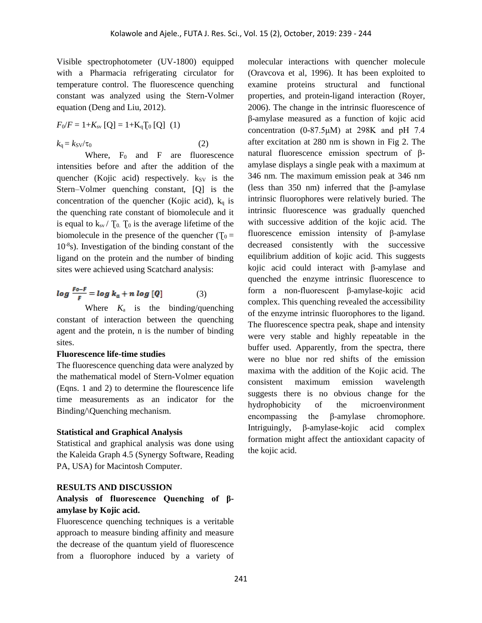Visible spectrophotometer (UV-1800) equipped with a Pharmacia refrigerating circulator for temperature control. The fluorescence quenching constant was analyzed using the Stern-Volmer equation (Deng and Liu, 2012).

$$
F_0/F = 1 + K_{\rm sv} [Q] = 1 + K_q [0 [Q] (1)
$$

 $k_{\rm q} = k_{\rm SV}/\tau_0$  (2)

Where,  $F_0$  and  $F$  are fluorescence intensities before and after the addition of the quencher (Kojic acid) respectively.  $k_{SV}$  is the Stern–Volmer quenching constant, [Q] is the concentration of the quencher (Kojic acid),  $k_q$  is the quenching rate constant of biomolecule and it is equal to  $k_{sv}$  /  $T_0$ .  $T_0$  is the average lifetime of the biomolecule in the presence of the quencher ( $T_0 =$ 10-8 s). Investigation of the binding constant of the ligand on the protein and the number of binding sites were achieved using Scatchard analysis:

$$
\log \frac{F_{o-F}}{F} = \log k_a + n \log [Q] \tag{3}
$$

Where  $K_a$  is the binding/quenching constant of interaction between the quenching agent and the protein, n is the number of binding sites.

#### **Fluorescence life-time studies**

The fluorescence quenching data were analyzed by the mathematical model of Stern-Volmer equation (Eqns. 1 and 2) to determine the flourescence life time measurements as an indicator for the Binding/\Quenching mechanism.

#### **Statistical and Graphical Analysis**

Statistical and graphical analysis was done using the Kaleida Graph 4.5 (Synergy Software, Reading PA, USA) for Macintosh Computer.

#### **RESULTS AND DISCUSSION**

## **Analysis of fluorescence Quenching of βamylase by Kojic acid.**

Fluorescence quenching techniques is a veritable approach to measure binding affinity and measure the decrease of the quantum yield of fluorescence from a fluorophore induced by a variety of molecular interactions with quencher molecule (Oravcova et al, 1996). It has been exploited to examine proteins structural and functional properties, and protein-ligand interaction (Royer, 2006). The change in the intrinsic fluorescence of β-amylase measured as a function of kojic acid concentration (0-87.5μM) at 298K and pH 7.4 after excitation at 280 nm is shown in Fig 2. The natural fluorescence emission spectrum of βamylase displays a single peak with a maximum at 346 nm. The maximum emission peak at 346 nm (less than 350 nm) inferred that the β-amylase intrinsic fluorophores were relatively buried. The intrinsic fluorescence was gradually quenched with successive addition of the kojic acid. The fluorescence emission intensity of β-amylase decreased consistently with the successive equilibrium addition of kojic acid. This suggests kojic acid could interact with β-amylase and quenched the enzyme intrinsic fluorescence to form a non-fluorescent β-amylase-kojic acid complex. This quenching revealed the accessibility of the enzyme intrinsic fluorophores to the ligand. The fluorescence spectra peak, shape and intensity were very stable and highly repeatable in the buffer used. Apparently, from the spectra, there were no blue nor red shifts of the emission maxima with the addition of the Kojic acid. The consistent maximum emission wavelength suggests there is no obvious change for the hydrophobicity of the microenvironment encompassing the β-amylase chromophore. Intriguingly, β-amylase-kojic acid complex formation might affect the antioxidant capacity of the kojic acid.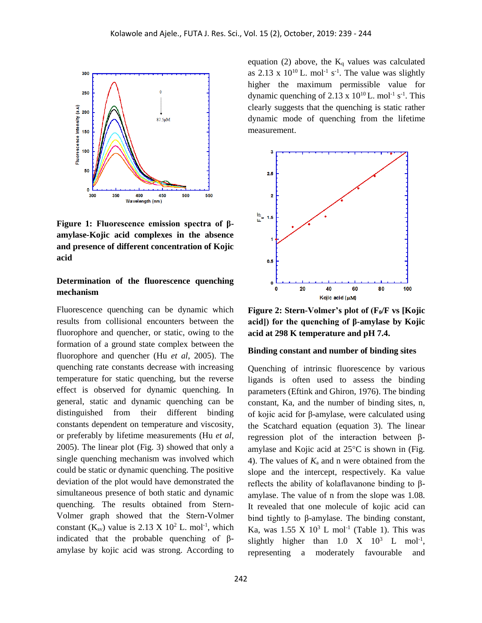

**Figure 1: Fluorescence emission spectra of βamylase-Kojic acid complexes in the absence and presence of different concentration of Kojic acid** 

## **Determination of the fluorescence quenching mechanism**

Fluorescence quenching can be dynamic which results from collisional encounters between the fluorophore and quencher, or static, owing to the formation of a ground state complex between the fluorophore and quencher (Hu *et al*, 2005). The quenching rate constants decrease with increasing temperature for static quenching, but the reverse effect is observed for dynamic quenching. In general, static and dynamic quenching can be distinguished from their different binding constants dependent on temperature and viscosity, or preferably by lifetime measurements (Hu *et al*, 2005). The linear plot (Fig. 3) showed that only a single quenching mechanism was involved which could be static or dynamic quenching. The positive deviation of the plot would have demonstrated the simultaneous presence of both static and dynamic quenching. The results obtained from Stern-Volmer graph showed that the Stern-Volmer constant  $(K_{sv})$  value is 2.13 X 10<sup>2</sup> L. mol<sup>-1</sup>, which indicated that the probable quenching of βamylase by kojic acid was strong. According to

equation (2) above, the  $K_q$  values was calculated as  $2.13 \times 10^{10}$  L. mol<sup>-1</sup> s<sup>-1</sup>. The value was slightly higher the maximum permissible value for dynamic quenching of  $2.13 \times 10^{10}$  L. mol<sup>-1</sup> s<sup>-1</sup>. This clearly suggests that the quenching is static rather dynamic mode of quenching from the lifetime measurement.



**Figure 2: Stern-Volmer's plot of (F0/F vs [Kojic acid]) for the quenching of β-amylase by Kojic acid at 298 K temperature and pH 7.4.**

#### **Binding constant and number of binding sites**

Quenching of intrinsic fluorescence by various ligands is often used to assess the binding parameters (Eftink and Ghiron, 1976). The binding constant, Ka, and the number of binding sites, n, of kojic acid for β-amylase, were calculated using the Scatchard equation (equation 3). The linear regression plot of the interaction between βamylase and Kojic acid at  $25^{\circ}$ C is shown in (Fig. 4). The values of  $K_a$  and n were obtained from the slope and the intercept, respectively. Ka value reflects the ability of kolaflavanone binding to βamylase. The value of n from the slope was 1.08. It revealed that one molecule of kojic acid can bind tightly to β-amylase. The binding constant, Ka, was  $1.55 \text{ X } 10^3 \text{ L } \text{mol}^{-1}$  (Table 1). This was slightly higher than  $1.0 \text{ X}$   $10^3 \text{ L}$  mol<sup>-1</sup>, representing a moderately favourable and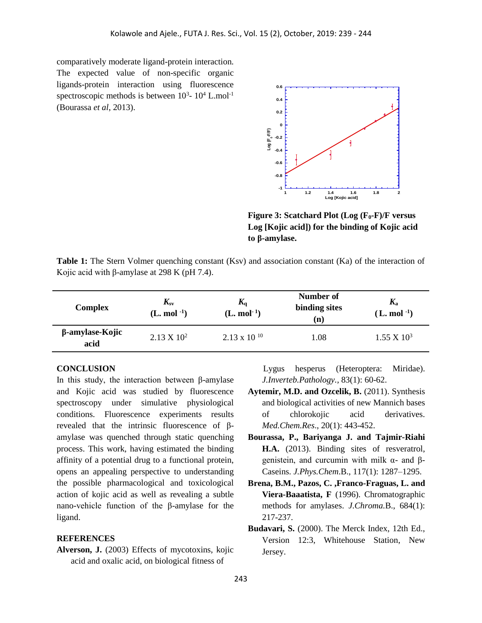comparatively moderate ligand-protein interaction. The expected value of non-specific organic ligands-protein interaction using fluorescence spectroscopic methods is between  $10^3$ -  $10^4$  L.mol<sup>-1</sup> (Bourassa *et al*, 2013).



**Figure 3: Scatchard Plot (Log (F0-F)/F versus Log [Kojic acid]) for the binding of Kojic acid to β-amylase.**

**Table 1:** The Stern Volmer quenching constant (Ksv) and association constant (Ka) of the interaction of Kojic acid with β-amylase at 298 K (pH 7.4).

| <b>Complex</b>          | $K_{\rm sv}$<br>$(L. \text{ mol}^{-1})$ | $K_{q}$<br>$(L. \text{ mol}^{-1})$ | Number of<br>binding sites<br>(n) | $K_{\rm a}$<br>$(L. \text{ mol}^{-1})$ |
|-------------------------|-----------------------------------------|------------------------------------|-----------------------------------|----------------------------------------|
| β-amylase-Kojic<br>acid | $2.13 \times 10^{2}$                    | $2.13 \times 10^{-10}$             | 1.08                              | $1.55 \times 10^3$                     |

### **CONCLUSION**

In this study, the interaction between β-amylase and Kojic acid was studied by fluorescence spectroscopy under simulative physiological conditions. Fluorescence experiments results revealed that the intrinsic fluorescence of βamylase was quenched through static quenching process. This work, having estimated the binding affinity of a potential drug to a functional protein, opens an appealing perspective to understanding the possible pharmacological and toxicological action of kojic acid as well as revealing a subtle nano-vehicle function of the β-amylase for the ligand.

#### **REFERENCES**

**Alverson, J.** (2003) Effects of mycotoxins, kojic acid and oxalic acid, on biological fitness of

 Lygus hesperus (Heteroptera: Miridae). *J.Inverteb.Pathology.,* 83(1): 60-62.

- **Aytemir, M.D. and Ozcelik, B.** (2011). Synthesis and biological activities of new Mannich bases of chlorokojic acid derivatives. *Med.Chem.Res*., 20(1): 443-452.
- **Bourassa, P., Bariyanga J. and Tajmir-Riahi H.A.** (2013). Binding sites of resveratrol, genistein, and curcumin with milk α- and β-Caseins. *J.Phys.Chem*.B., 117(1): 1287–1295.
- **Brena, B.M., Pazos, C. ,Franco-Fraguas, L. and Viera-Baaatista, F** (1996). Chromatographic methods for amylases. *J.Chroma.*B., 684(1): 217-237.
- **Budavari, S.** (2000). The Merck Index, 12th Ed., Version 12:3, Whitehouse Station, New Jersey.